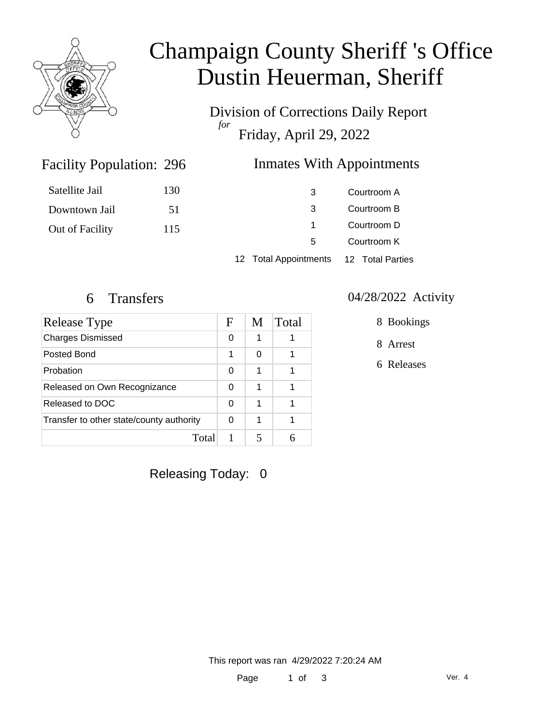

# Champaign County Sheriff 's Office Dustin Heuerman, Sheriff

Division of Corrections Daily Report *for* Friday, April 29, 2022

### Inmates With Appointments

| Satellite Jail  | 130 | 3                                      | Courtroom A |
|-----------------|-----|----------------------------------------|-------------|
| Downtown Jail   | 51  | 3                                      | Courtroom B |
| Out of Facility | 115 |                                        | Courtroom D |
|                 |     | 5                                      | Courtroom K |
|                 |     | 12 Total Appointments 12 Total Parties |             |

Facility Population: 296

| Release Type                             | F | M | Total |
|------------------------------------------|---|---|-------|
| <b>Charges Dismissed</b>                 | 0 | 1 |       |
| Posted Bond                              | 1 | ∩ |       |
| Probation                                | O | 1 |       |
| Released on Own Recognizance             | 0 | 1 |       |
| Released to DOC                          | 0 | 1 |       |
| Transfer to other state/county authority | 0 | 1 |       |
| Total                                    |   |   |       |

#### 6 Transfers 04/28/2022 Activity

8 Bookings

8 Arrest

6 Releases

Releasing Today: 0

This report was ran 4/29/2022 7:20:24 AM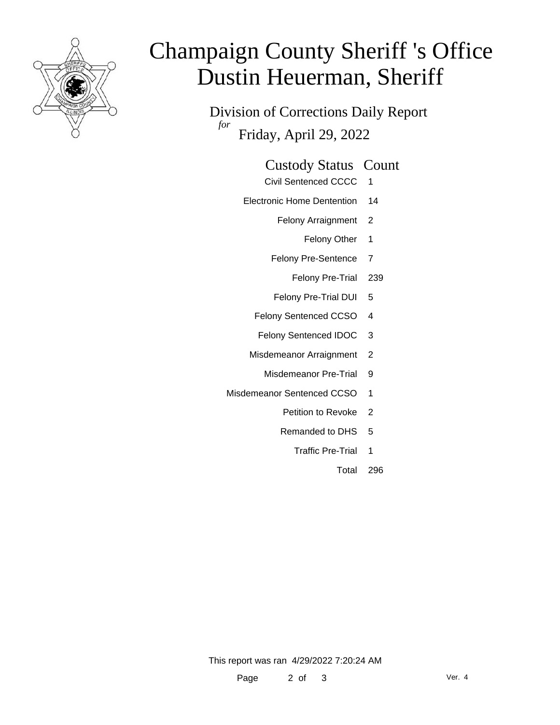

# Champaign County Sheriff 's Office Dustin Heuerman, Sheriff

Division of Corrections Daily Report *for* Friday, April 29, 2022

# Custody Status Count

- Civil Sentenced CCCC 1
- Electronic Home Dentention 14
	- Felony Arraignment 2
		- Felony Other 1
	- Felony Pre-Sentence 7
		- Felony Pre-Trial 239
	- Felony Pre-Trial DUI 5
	- Felony Sentenced CCSO 4
	- Felony Sentenced IDOC 3
	- Misdemeanor Arraignment 2
		- Misdemeanor Pre-Trial 9
- Misdemeanor Sentenced CCSO 1
	- Petition to Revoke 2
	- Remanded to DHS 5
		- Traffic Pre-Trial 1
			- Total 296

This report was ran 4/29/2022 7:20:24 AM